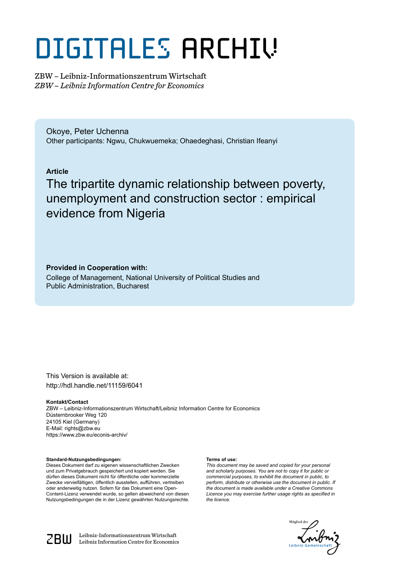# DIGITALES ARCHIV

ZBW – Leibniz-Informationszentrum Wirtschaft *ZBW – Leibniz Information Centre for Economics*

Okoye, Peter Uchenna Other participants: Ngwu, Chukwuemeka; Ohaedeghasi, Christian Ifeanyi

## **Article**

The tripartite dynamic relationship between poverty, unemployment and construction sector : empirical evidence from Nigeria

## **Provided in Cooperation with:**

College of Management, National University of Political Studies and Public Administration, Bucharest

This Version is available at: http://hdl.handle.net/11159/6041

#### **Kontakt/Contact**

ZBW – Leibniz-Informationszentrum Wirtschaft/Leibniz Information Centre for Economics Düsternbrooker Weg 120 24105 Kiel (Germany) E-Mail: rights@zbw.eu https://www.zbw.eu/econis-archiv/

#### **Standard-Nutzungsbedingungen:**

Dieses Dokument darf zu eigenen wissenschaftlichen Zwecken und zum Privatgebrauch gespeichert und kopiert werden. Sie dürfen dieses Dokument nicht für öffentliche oder kommerzielle Zwecke vervielfältigen, öffentlich ausstellen, aufführen, vertreiben oder anderweitig nutzen. Sofern für das Dokument eine Open-Content-Lizenz verwendet wurde, so gelten abweichend von diesen Nutzungsbedingungen die in der Lizenz gewährten Nutzungsrechte.

#### **Terms of use:**

*This document may be saved and copied for your personal and scholarly purposes. You are not to copy it for public or commercial purposes, to exhibit the document in public, to perform, distribute or otherwise use the document in public. If the document is made available under a Creative Commons Licence you may exercise further usage rights as specified in the licence.*





 $\mathbb{Z} \text{B} \text{U}$  Leibniz-Informationszentrum Wirtschaft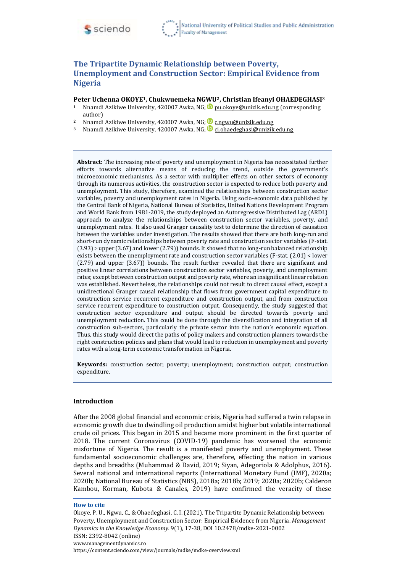

# **The Tripartite Dynamic Relationship between Poverty, Unemployment and Construction Sector: Empirical Evidence from Nigeria**

**Peter Uchenna OKOYE1, Chukwuemeka NGWU2, Christian Ifeanyi OHAEDEGHASI<sup>3</sup>**

- **Nnamdi Azikiwe University, 420007 Awka, NG; <b>D** [pu.okoye@unizik.edu.ng](mailto:pu.okoye@unizik.edu.ng) (corresponding author)
- <sup>2</sup> Nnamdi Azikiwe University, 420007 Awka, NG; **D** [c.ngwu@unizik.edu.ng](mailto:c.ngwu@unizik.edu.ng)
- 3 Nnamdi Azikiwe University, 420007 Awka, NG; **D** ci.ohaedeghasi@unizik.edu.ng

**Abstract:** The increasing rate of poverty and unemployment in Nigeria has necessitated further efforts towards alternative means of reducing the trend, outside the government's microeconomic mechanisms. As a sector with multiplier effects on other sectors of economy through its numerous activities, the construction sector is expected to reduce both poverty and unemployment. This study, therefore, examined the relationships between construction sector variables, poverty and unemployment rates in Nigeria. Using socio-economic data published by the Central Bank of Nigeria, National Bureau of Statistics, United Nations Development Program and World Bank from 1981-2019, the study deployed an Autoregressive Distributed Lag (ARDL) approach to analyze the relationships between construction sector variables, poverty, and unemployment rates. It also used Granger causality test to determine the direction of causation between the variables under investigation. The results showed that there are both long-run and short-run dynamic relationships between poverty rate and construction sector variables (F-stat. (3.93) > upper (3.67) and lower (2.79)) bounds. It showed that no long-run balanced relationship exists between the unemployment rate and construction sector variables (F-stat. (2.01) < lower (2.79) and upper (3.67)) bounds. The result further revealed that there are significant and positive linear correlations between construction sector variables, poverty, and unemployment rates; except between construction output and poverty rate, where an insignificant linear relation was established. Nevertheless, the relationships could not result to direct causal effect, except a unidirectional Granger causal relationship that flows from government capital expenditure to construction service recurrent expenditure and construction output, and from construction service recurrent expenditure to construction output. Consequently, the study suggested that construction sector expenditure and output should be directed towards poverty and unemployment reduction. This could be done through the diversification and integration of all construction sub-sectors, particularly the private sector into the nation's economic equation. Thus, this study would direct the paths of policy makers and construction planners towards the right construction policies and plans that would lead to reduction in unemployment and poverty rates with a long-term economic transformation in Nigeria.

**Keywords:** construction sector; poverty; unemployment; construction output; construction expenditure.

#### **Introduction**

After the 2008 global financial and economic crisis, Nigeria had suffered a twin relapse in economic growth due to dwindling oil production amidst higher but volatile international crude oil prices. This began in 2015 and became more prominent in the first quarter of 2018. The current Coronavirus (COVID-19) pandemic has worsened the economic misfortune of Nigeria. The result is a manifested poverty and unemployment. These fundamental socioeconomic challenges are, therefore, effecting the nation in various depths and breadths (Muhammad & David, 2019; Siyan, Adegoriola & Adolphus, 2016). Several national and international reports (International Monetary Fund (IMF), 2020a; 2020b; National Bureau of Statistics (NBS), 2018a; 2018b; 2019; 2020a; 2020b; Calderon Kambou, Korman, Kubota & Canales, 2019) have confirmed the veracity of these

#### **How to cite**

Okoye, P. U., Ngwu, C., & Ohaedeghasi, C. I. (2021). The Tripartite Dynamic Relationship between Poverty, Unemployment and Construction Sector: Empirical Evidence from Nigeria. *Management Dynamics in the Knowledge Economy.* 9(1)*,* 17-38, DOI 10.2478/mdke-2021-0002 ISSN: 2392-8042 (online) [www.managementdynamics.ro](http://www.managementdynamics.ro/) <https://content.sciendo.com/view/journals/mdke/mdke-overview.xml>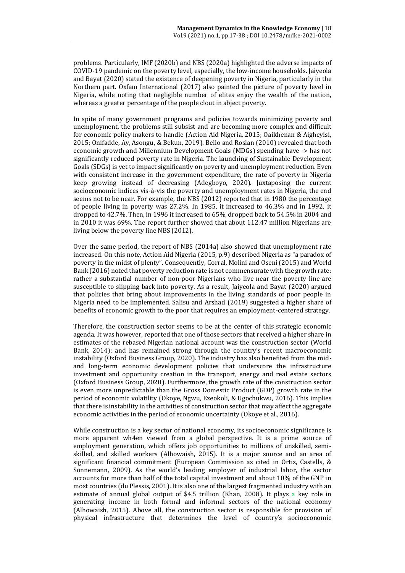problems. Particularly, IMF (2020b) and NBS (2020a) highlighted the adverse impacts of COVID-19 pandemic on the poverty level, especially, the low-income households. Jaiyeola and Bayat (2020) stated the existence of deepening poverty in Nigeria, particularly in the Northern part. Oxfam International (2017) also painted the picture of poverty level in Nigeria, while noting that negligible number of elites enjoy the wealth of the nation, whereas a greater percentage of the people clout in abject poverty.

In spite of many government programs and policies towards minimizing poverty and unemployment, the problems still subsist and are becoming more complex and difficult for economic policy makers to handle (Action Aid Nigeria, 2015; Oaikhenan & Aigheyisi, 2015; Onifadde, Ay, Asongu, & Bekun, 2019). Bello and Roslan (2010) revealed that both economic growth and Millennium Development Goals (MDGs) spending have -> has not significantly reduced poverty rate in Nigeria. The launching of Sustainable Development Goals (SDGs) is yet to impact significantly on poverty and unemployment reduction. Even with consistent increase in the government expenditure, the rate of poverty in Nigeria keep growing instead of decreasing (Adegboyo, 2020). Juxtaposing the current socioeconomic indices vis-à-vis the poverty and unemployment rates in Nigeria, the end seems not to be near. For example, the NBS (2012) reported that in 1980 the percentage of people living in poverty was 27.2%. In 1985, it increased to 46.3% and in 1992, it dropped to 42.7%. Then, in 1996 it increased to 65%, dropped back to 54.5% in 2004 and in 2010 it was 69%. The report further showed that about 112.47 million Nigerians are living below the poverty line NBS (2012).

Over the same period, the report of NBS (2014a) also showed that unemployment rate increased. On this note, Action Aid Nigeria (2015, p.9) described Nigeria as "a paradox of poverty in the midst of plenty". Consequently, Corral, Molini and Oseni (2015) and World Bank (2016) noted that poverty reduction rate is not commensurate with the growth rate; rather a substantial number of non-poor Nigerians who live near the poverty line are susceptible to slipping back into poverty. As a result, Jaiyeola and Bayat (2020) argued that policies that bring about improvements in the living standards of poor people in Nigeria need to be implemented. Salisu and Arshad (2019) suggested a higher share of benefits of economic growth to the poor that requires an employment-centered strategy.

Therefore, the construction sector seems to be at the center of this strategic economic agenda. It was however, reported that one of those sectors that received a higher share in estimates of the rebased Nigerian national account was the construction sector (World Bank, 2014); and has remained strong through the country's recent macroeconomic instability (Oxford Business Group, 2020). The industry has also benefited from the midand long-term economic development policies that underscore the infrastructure investment and opportunity creation in the transport, energy and real estate sectors (Oxford Business Group, 2020). Furthermore, the growth rate of the construction sector is even more unpredictable than the Gross Domestic Product (GDP) growth rate in the period of economic volatility (Okoye, Ngwu, Ezeokoli, & Ugochukwu, 2016). This implies that there is instability in the activities of construction sector that may affect the aggregate economic activities in the period of economic uncertainty (Okoye et al., 2016).

While construction is a key sector of national economy, its socioeconomic significance is more apparent wh4en viewed from a global perspective. It is a prime source of employment generation, which offers job opportunities to millions of unskilled, semiskilled, and skilled workers (Alhowaish, 2015). It is a major source and an area of significant financial commitment (European Commission as cited in Ortiz, Castells, & Sonnemann, 2009). As the world's leading employer of industrial labor, the sector accounts for more than half of the total capital investment and about 10% of the GNP in most countries (du Plessis, 2001). It is also one of the largest fragmented industry with an estimate of annual global output of \$4.5 trillion (Khan, 2008). It plays a key role in generating income in both formal and informal sectors of the national economy (Alhowaish, 2015). Above all, the construction sector is responsible for provision of physical infrastructure that determines the level of country's socioeconomic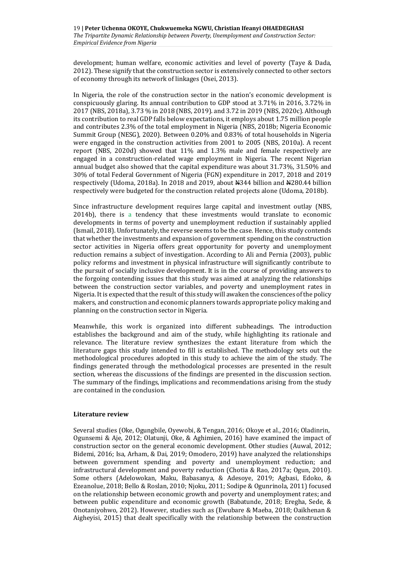development; human welfare, economic activities and level of poverty (Taye & Dada, 2012). These signify that the construction sector is extensively connected to other sectors of economy through its network of linkages (Osei, 2013).

In Nigeria, the role of the construction sector in the nation's economic development is conspicuously glaring. Its annual contribution to GDP stood at 3.71% in 2016, 3.72% in 2017 (NBS, 2018a), 3.73 % in 2018 (NBS, 2019). and 3.72 in 2019 (NBS, 2020c). Although its contribution to real GDP falls below expectations, it employs about 1.75 million people and contributes 2.3% of the total employment in Nigeria (NBS, 2018b; Nigeria Economic Summit Group (NESG), 2020). Between 0.20% and 0.83% of total households in Nigeria were engaged in the construction activities from 2001 to 2005 (NBS, 2010a). A recent report (NBS, 2020d) showed that 11% and 1.3% male and female respectively are engaged in a construction-related wage employment in Nigeria. The recent Nigerian annual budget also showed that the capital expenditure was about 31.73%, 31.50% and 30% of total Federal Government of Nigeria (FGN) expenditure in 2017, 2018 and 2019 respectively (Udoma, 2018a). In 2018 and 2019, about N344 billion and N280.44 billion respectively were budgeted for the construction related projects alone (Udoma, 2018b).

Since infrastructure development requires large capital and investment outlay (NBS, 2014b), there is a tendency that these investments would translate to economic developments in terms of poverty and unemployment reduction if sustainably applied (Ismail, 2018). Unfortunately, the reverse seems to be the case. Hence, this study contends that whether the investments and expansion of government spending on the construction sector activities in Nigeria offers great opportunity for poverty and unemployment reduction remains a subject of investigation. According to Ali and Pernia (2003), public policy reforms and investment in physical infrastructure will significantly contribute to the pursuit of socially inclusive development. It is in the course of providing answers to the forgoing contending issues that this study was aimed at analyzing the relationships between the construction sector variables, and poverty and unemployment rates in Nigeria. It is expected that the result of this study will awaken the consciences of the policy makers, and construction and economic planners towards appropriate policy making and planning on the construction sector in Nigeria.

Meanwhile, this work is organized into different subheadings. The introduction establishes the background and aim of the study, while highlighting its rationale and relevance. The literature review synthesizes the extant literature from which the literature gaps this study intended to fill is established. The methodology sets out the methodological procedures adopted in this study to achieve the aim of the study. The findings generated through the methodological processes are presented in the result section, whereas the discussions of the findings are presented in the discussion section. The summary of the findings, implications and recommendations arising from the study are contained in the conclusion.

## **Literature review**

Several studies (Oke, Ogungbile, Oyewobi, & Tengan, 2016; Okoye et al., 2016; Oladinrin, Ogunsemi & Aje, 2012; Olatunji, Oke, & Aghimien, 2016) have examined the impact of construction sector on the general economic development. Other studies (Auwal, 2012; Bidemi, 2016; Isa, Arham, & Dai, 2019; Omodero, 2019) have analyzed the relationships between government spending and poverty and unemployment reduction; and infrastructural development and poverty reduction (Chotia & Rao, 2017a; Ogun, 2010). Some others (Adelowokan, Maku, Babasanya, & Adesoye, 2019; Agbasi, Edoko, & Ezeanolue, 2018; Bello & Roslan, 2010; Njoku, 2011; Sodipe & Ogunrinola, 2011) focused on the relationship between economic growth and poverty and unemployment rates; and between public expenditure and economic growth (Babatunde, 2018; Eregha, Sede, & Onotaniyohwo, 2012). However, studies such as (Ewubare & Maeba, 2018; Oaikhenan & Aigheyisi, 2015) that dealt specifically with the relationship between the construction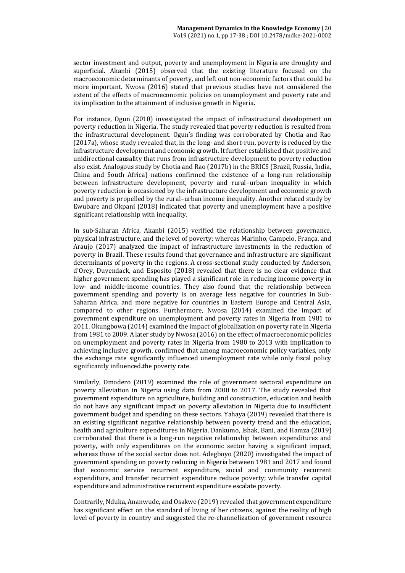sector investment and output, poverty and unemployment in Nigeria are droughty and superficial. Akanbi (2015) observed that the existing literature focused on the macroeconomic determinants of poverty, and left out non-economic factors that could be more important. Nwosa (2016) stated that previous studies have not considered the extent of the effects of macroeconomic policies on unemployment and poverty rate and its implication to the attainment of inclusive growth in Nigeria.

For instance, Ogun (2010) investigated the impact of infrastructural development on poverty reduction in Nigeria. The study revealed that poverty reduction is resulted from the infrastructural development. Ogun's finding was corroborated by Chotia and Rao (2017a), whose study revealed that, in the long- and short-run, poverty is reduced by the infrastructure development and economic growth. It further established that positive and unidirectional causality that runs from infrastructure development to poverty reduction also exist. Analogous study by Chotia and Rao (2017b) in the BRICS (Brazil, Russia, India, China and South Africa) nations confirmed the existence of a long-run relationship between infrastructure development, poverty and rural–urban inequality in which poverty reduction is occasioned by the infrastructure development and economic growth and poverty is propelled by the rural–urban income inequality. Another related study by Ewubare and Okpani (2018) indicated that poverty and unemployment have a positive significant relationship with inequality.

In sub-Saharan Africa, Akanbi (2015) verified the relationship between governance, physical infrastructure, and the level of poverty; whereas Marinho, Campelo, França, and Araujo (2017) analyzed the impact of infrastructure investments in the reduction of poverty in Brazil. These results found that governance and infrastructure are significant determinants of poverty in the regions. A cross-sectional study conducted by Anderson, d'Orey, Duvendack, and Esposito (2018) revealed that there is no clear evidence that higher government spending has played a significant role in reducing income poverty in low- and middle-income countries. They also found that the relationship between government spending and poverty is on average less negative for countries in Sub-Saharan Africa, and more negative for countries in Eastern Europe and Central Asia, compared to other regions. Furthermore, Nwosa (2014) examined the impact of government expenditure on unemployment and poverty rates in Nigeria from 1981 to 2011. Okungbowa (2014) examined the impact of globalization on poverty rate in Nigeria from 1981 to 2009. A later study by Nwosa (2016) on the effect of macroeconomic policies on unemployment and poverty rates in Nigeria from 1980 to 2013 with implication to achieving inclusive growth, confirmed that among macroeconomic policy variables, only the exchange rate significantly influenced unemployment rate while only fiscal policy significantly influenced the poverty rate.

Similarly, Omodero (2019) examined the role of government sectoral expenditure on poverty alleviation in Nigeria using data from 2000 to 2017. The study revealed that government expenditure on agriculture, building and construction, education and health do not have any significant impact on poverty alleviation in Nigeria due to insufficient government budget and spending on these sectors. Yahaya (2019) revealed that there is an existing significant negative relationship between poverty trend and the education, health and agriculture expenditures in Nigeria. Dankumo, Ishak, Bani, and Hamza (2019) corroborated that there is a long-run negative relationship between expenditures and poverty, with only expenditures on the economic sector having a significant impact, whereas those of the social sector does not. Adegboyo (2020) investigated the impact of government spending on poverty reducing in Nigeria between 1981 and 2017 and found that economic service recurrent expenditure, social and community recurrent expenditure, and transfer recurrent expenditure reduce poverty; while transfer capital expenditure and administrative recurrent expenditure escalate poverty.

Contrarily, Nduka, Ananwude, and Osakwe (2019) revealed that government expenditure has significant effect on the standard of living of her citizens, against the reality of high level of poverty in country and suggested the re-channelization of government resource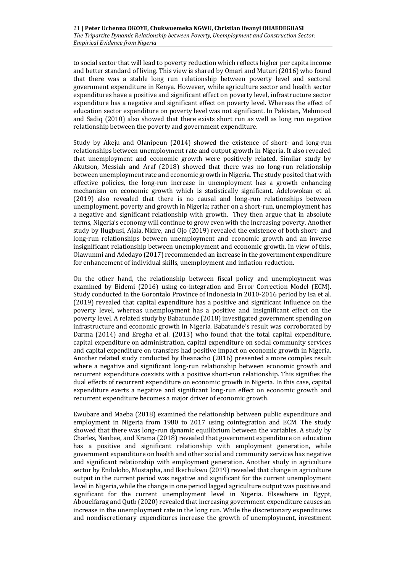to social sector that will lead to poverty reduction which reflects higher per capita income and better standard of living. This view is shared by Omari and Muturi (2016) who found that there was a stable long run relationship between poverty level and sectoral government expenditure in Kenya. However, while agriculture sector and health sector expenditures have a positive and significant effect on poverty level, infrastructure sector expenditure has a negative and significant effect on poverty level. Whereas the effect of education sector expenditure on poverty level was not significant. In Pakistan, Mehmood and Sadiq (2010) also showed that there exists short run as well as long run negative relationship between the poverty and government expenditure.

Study by Akeju and Olanipeun (2014) showed the existence of short- and long-run relationships between unemployment rate and output growth in Nigeria. It also revealed that unemployment and economic growth were positively related. Similar study by Akutson, Messiah and Araf (2018) showed that there was no long-run relationship between unemployment rate and economic growth in Nigeria. The study posited that with effective policies, the long-run increase in unemployment has a growth enhancing mechanism on economic growth which is statistically significant. Adelowokan et al. (2019) also revealed that there is no causal and long-run relationships between unemployment, poverty and growth in Nigeria; rather on a short-run, unemployment has a negative and significant relationship with growth. They then argue that in absolute terms, Nigeria's economy will continue to grow even with the increasing poverty. Another study by Ilugbusi, Ajala, Nkire, and Ojo (2019) revealed the existence of both short- and long-run relationships between unemployment and economic growth and an inverse insignificant relationship between unemployment and economic growth. In view of this, Olawunmi and Adedayo (2017) recommended an increase in the government expenditure for enhancement of individual skills, unemployment and inflation reduction.

On the other hand, the relationship between fiscal policy and unemployment was examined by Bidemi (2016) using co-integration and Error Correction Model (ECM). Study conducted in the Gorontalo Province of Indonesia in 2010-2016 period by Isa et al. (2019) revealed that capital expenditure has a positive and significant influence on the poverty level, whereas unemployment has a positive and insignificant effect on the poverty level. A related study by Babatunde (2018) investigated government spending on infrastructure and economic growth in Nigeria. Babatunde's result was corroborated by Darma (2014) and Eregha et al. (2013) who found that the total capital expenditure, capital expenditure on administration, capital expenditure on social community services and capital expenditure on transfers had positive impact on economic growth in Nigeria. Another related study conducted by Iheanacho (2016) presented a more complex result where a negative and significant long-run relationship between economic growth and recurrent expenditure coexists with a positive short-run relationship. This signifies the dual effects of recurrent expenditure on economic growth in Nigeria. In this case, capital expenditure exerts a negative and significant long-run effect on economic growth and recurrent expenditure becomes a major driver of economic growth.

Ewubare and Maeba (2018) examined the relationship between public expenditure and employment in Nigeria from 1980 to 2017 using cointegration and ECM. The study showed that there was long-run dynamic equilibrium between the variables. A study by Charles, Nenbee, and Krama (2018) revealed that government expenditure on education has a positive and significant relationship with employment generation, while government expenditure on health and other social and community services has negative and significant relationship with employment generation. Another study in agriculture sector by Enilolobo, Mustapha, and Ikechukwu (2019) revealed that change in agriculture output in the current period was negative and significant for the current unemployment level in Nigeria, while the change in one period lagged agriculture output was positive and significant for the current unemployment level in Nigeria. Elsewhere in Egypt, Abouelfarag and Qutb (2020) revealed that increasing government expenditure causes an increase in the unemployment rate in the long run. While the discretionary expenditures and nondiscretionary expenditures increase the growth of unemployment, investment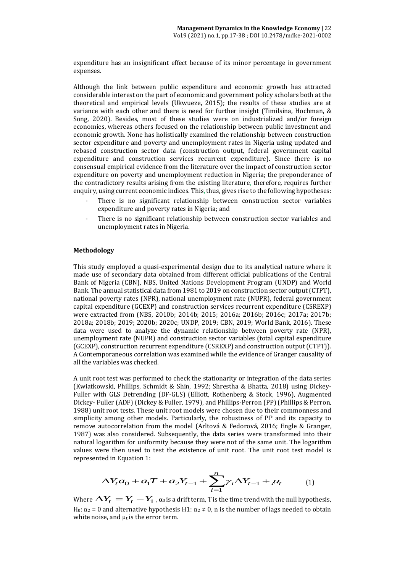expenditure has an insignificant effect because of its minor percentage in government expenses.

Although the link between public expenditure and economic growth has attracted considerable interest on the part of economic and government policy scholars both at the theoretical and empirical levels (Ukwueze, 2015); the results of these studies are at variance with each other and there is need for further insight (Timilsina, Hochman, & Song, 2020). Besides, most of these studies were on industrialized and/or foreign economies, whereas others focused on the relationship between public investment and economic growth. None has holistically examined the relationship between construction sector expenditure and poverty and unemployment rates in Nigeria using updated and rebased construction sector data (construction output, federal government capital expenditure and construction services recurrent expenditure). Since there is no consensual empirical evidence from the literature over the impact of construction sector expenditure on poverty and unemployment reduction in Nigeria; the preponderance of the contradictory results arising from the existing literature, therefore, requires further enquiry, using current economic indices. This, thus, gives rise to the following hypotheses:

- There is no significant relationship between construction sector variables expenditure and poverty rates in Nigeria; and
- There is no significant relationship between construction sector variables and unemployment rates in Nigeria.

#### **Methodology**

This study employed a quasi-experimental design due to its analytical nature where it made use of secondary data obtained from different official publications of the Central Bank of Nigeria (CBN), NBS, United Nations Development Program (UNDP) and World Bank. The annual statistical data from 1981 to 2019 on construction sector output (CTPT), national poverty rates (NPR), national unemployment rate (NUPR), federal government capital expenditure (GCEXP) and construction services recurrent expenditure (CSREXP) were extracted from (NBS, 2010b; 2014b; 2015; 2016a; 2016b; 2016c; 2017a; 2017b; 2018a; 2018b; 2019; 2020b; 2020c; UNDP, 2019; CBN, 2019; World Bank, 2016). These data were used to analyze the dynamic relationship between poverty rate (NPR), unemployment rate (NUPR) and construction sector variables (total capital expenditure (GCEXP), construction recurrent expenditure (CSREXP) and construction output (CTPT)). A Contemporaneous correlation was examined while the evidence of Granger causality of all the variables was checked.

A unit root test was performed to check the stationarity or integration of the data series (Kwiatkowski, Phillips, Schmidt & Shin, 1992; Shrestha & Bhatta, 2018) using Dickey-Fuller with GLS Detrending (DF-GLS) (Elliott, Rothenberg & Stock, 1996), Augmented Dickey- Fuller (ADF) (Dickey & Fuller, 1979), and Phillips-Perron (PP) (Phillips & Perron, 1988) unit root tests. These unit root models were chosen due to their commonness and simplicity among other models. Particularly, the robustness of PP and its capacity to remove autocorrelation from the model (Arltová & Fedorová, 2016; Engle & Granger, 1987) was also considered. Subsequently, the data series were transformed into their natural logarithm for uniformity because they were not of the same unit. The logarithm values were then used to test the existence of unit root. The unit root test model is represented in Equation 1:

$$
\Delta Y_t a_0 + a_1 T + a_2 Y_{t-1} + \sum_{i=1}^n \gamma_i \Delta Y_{t-1} + \mu_t \tag{1}
$$

Where  $\Delta Y_t = Y_t - Y_1$  ,  $\alpha_0$  is a drift term, T is the time trend with the null hypothesis, H<sub>0</sub>: α<sub>2</sub> = 0 and alternative hypothesis H1: α<sub>2</sub> ≠ 0, n is the number of lags needed to obtain white noise, and  $\mu_t$  is the error term.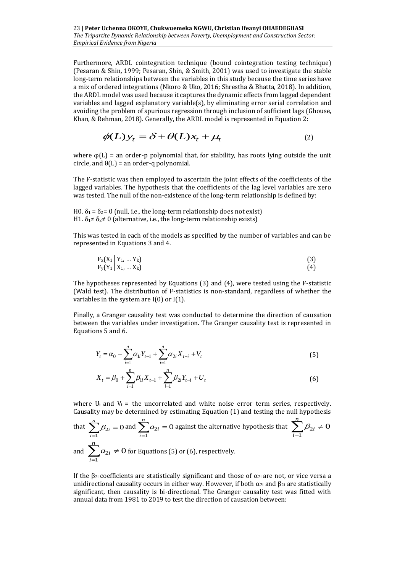Furthermore, ARDL cointegration technique (bound cointegration testing technique) (Pesaran & Shin, 1999; Pesaran, Shin, & Smith, 2001) was used to investigate the stable long-term relationships between the variables in this study because the time series have a mix of ordered integrations (Nkoro & Uko, 2016; Shrestha & Bhatta, 2018). In addition, the ARDL model was used because it captures the dynamic effects from lagged dependent variables and lagged explanatory variable(s), by eliminating error serial correlation and avoiding the problem of spurious regression through inclusion of sufficient lags (Ghouse, Khan, & Rehman, 2018). Generally, the ARDL model is represented in Equation 2:

$$
\phi(L)y_t = \delta + \theta(L)x_t + \mu_t \tag{2}
$$

where  $\varphi(L)$  = an order-p polynomial that, for stability, has roots lying outside the unit circle, and  $\theta(L)$  = an order-q polynomial.

The F-statistic was then employed to ascertain the joint effects of the coefficients of the lagged variables. The hypothesis that the coefficients of the lag level variables are zero was tested. The null of the non-existence of the long-term relationship is defined by:

H0.  $\delta_1$  =  $\delta_2$ = 0 (null, i.e., the long-term relationship does not exist) H1.  $\delta_1 \neq \delta_2 \neq 0$  (alternative, i.e., the long-term relationship exists)

This was tested in each of the models as specified by the number of variables and can be represented in Equations 3 and 4.

$$
F_x(X_1 | Y_1, ... Y_k) \nF_y(Y_1 | X_1, ... X_k)
$$
\n(3)

The hypotheses represented by Equations (3) and (4), were tested using the F-statistic (Wald test). The distribution of F-statistics is non-standard, regardless of whether the variables in the system are  $I(0)$  or  $I(1)$ .

Finally, a Granger causality test was conducted to determine the direction of causation between the variables under investigation. The Granger causality test is represented in Equations 5 and 6.

$$
Y_{t} = \alpha_{0} + \sum_{i=1}^{n} \alpha_{1i} Y_{t-1} + \sum_{i=1}^{n} \alpha_{2i} X_{t-i} + V_{t}
$$
\n(5)

$$
X_{t} = \beta_{0} + \sum_{i=1}^{n} \beta_{1i} X_{t-1} + \sum_{i=1}^{n} \beta_{2i} Y_{t-i} + U_{t}
$$
\n
$$
\tag{6}
$$

where  $U_t$  and  $V_t$  = the uncorrelated and white noise error term series, respectively. Causality may be determined by estimating Equation (1) and testing the null hypothesis

that 
$$
\sum_{i=1}^{n} \beta_{2i} = 0
$$
 and  $\sum_{i=1}^{n} a_{2i} = 0$  against the alternative hypothesis that  $\sum_{i=1}^{n} \beta_{2i} \neq 0$   
and  $\sum_{i=1}^{n} a_{2i} \neq 0$  for Equations (5) or (6), respectively.

If the  $\beta_{2i}$  coefficients are statistically significant and those of  $\alpha_{2i}$  are not, or vice versa a unidirectional causality occurs in either way. However, if both  $\alpha_{2i}$  and  $\beta_{2i}$  are statistically significant, then causality is bi-directional. The Granger causality test was fitted with annual data from 1981 to 2019 to test the direction of causation between: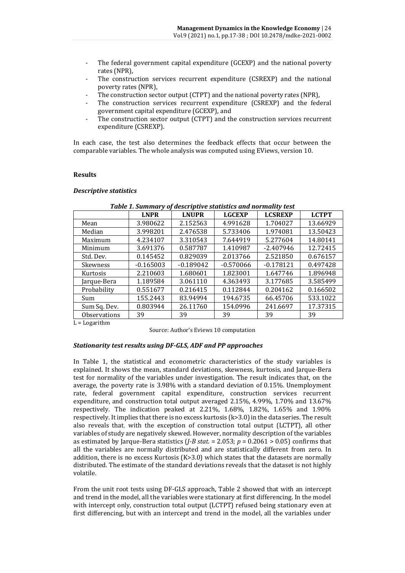- The federal government capital expenditure (GCEXP) and the national poverty rates (NPR),
- The construction services recurrent expenditure (CSREXP) and the national poverty rates (NPR),
- The construction sector output (CTPT) and the national poverty rates (NPR),
- The construction services recurrent expenditure (CSREXP) and the federal government capital expenditure (GCEXP), and
- The construction sector output (CTPT) and the construction services recurrent expenditure (CSREXP).

In each case, the test also determines the feedback effects that occur between the comparable variables. The whole analysis was computed using EViews, version 10.

## **Results**

#### *Descriptive statistics*

|                     | <b>LNPR</b> | <b>LNUPR</b> | <b>LGCEXP</b> | <b>LCSREXP</b> | <b>LCTPT</b> |
|---------------------|-------------|--------------|---------------|----------------|--------------|
| Mean                | 3.980622    | 2.152563     | 4.991628      | 1.704027       | 13.66929     |
| Median              | 3.998201    | 2.476538     | 5.733406      | 1.974081       | 13.50423     |
| Maximum             | 4.234107    | 3.310543     | 7.644919      | 5.277604       | 14.80141     |
| Minimum             | 3.691376    | 0.587787     | 1.410987      | $-2.407946$    | 12.72415     |
| Std. Dev.           | 0.145452    | 0.829039     | 2.013766      | 2.521850       | 0.676157     |
| Skewness            | $-0.165003$ | $-0.189042$  | $-0.570066$   | $-0.178121$    | 0.497428     |
| Kurtosis            | 2.210603    | 1.680601     | 1.823001      | 1.647746       | 1.896948     |
| Jarque-Bera         | 1.189584    | 3.061110     | 4.363493      | 3.177685       | 3.585499     |
| Probability         | 0.551677    | 0.216415     | 0.112844      | 0.204162       | 0.166502     |
| Sum                 | 155.2443    | 83.94994     | 194.6735      | 66.45706       | 533.1022     |
| Sum Sq. Dev.        | 0.803944    | 26.11760     | 154.0996      | 241.6697       | 17.37315     |
| <b>Observations</b> | 39          | 39           | 39            | 39             | 39           |

*Table 1. Summary of descriptive statistics and normality test*

 $L =$  Logarithm

Source: Author's Eviews 10 computation

#### *Stationarity test results using DF-GLS, ADF and PP approaches*

In Table 1, the statistical and econometric characteristics of the study variables is explained. It shows the mean, standard deviations, skewness, kurtosis, and Jarque-Bera test for normality of the variables under investigation. The result indicates that, on the average, the poverty rate is 3.98% with a standard deviation of 0.15%. Unemployment rate, federal government capital expenditure, construction services recurrent expenditure, and construction total output averaged 2.15%, 4.99%, 1.70% and 13.67% respectively. The indication peaked at 2.21%, 1.68%, 1.82%, 1.65% and 1.90% respectively. It implies that there is no excess kurtosis (k>3.0) in the data series. The result also reveals that, with the exception of construction total output (LCTPT), all other variables of study are negatively skewed. However, normality description of the variables as estimated by Jarque-Bera statistics (*J-B stat.* = 2.053; *p* = 0.2061 > 0.05) confirms that all the variables are normally distributed and are statistically different from zero. In addition, there is no excess Kurtosis ( $K > 3.0$ ) which states that the datasets are normally distributed. The estimate of the standard deviations reveals that the dataset is not highly volatile.

From the unit root tests using DF-GLS approach, Table 2 showed that with an intercept and trend in the model, all the variables were stationary at first differencing. In the model with intercept only, construction total output (LCTPT) refused being stationary even at first differencing, but with an intercept and trend in the model, all the variables under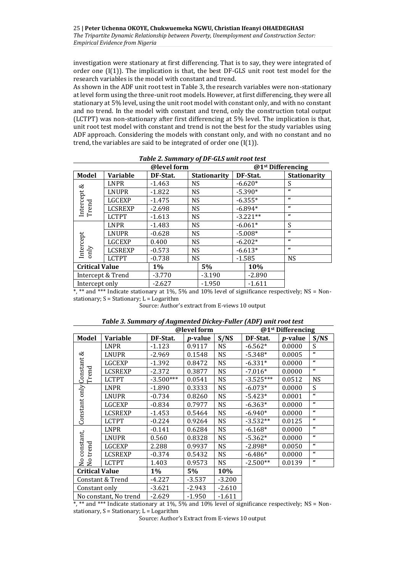investigation were stationary at first differencing. That is to say, they were integrated of order one (I(1)). The implication is that, the best DF-GLS unit root test model for the research variables is the model with constant and trend.

As shown in the ADF unit root test in Table 3, the research variables were non-stationary at level form using the three-unit root models. However, at first differencing, they were all stationary at 5% level, using the unit root model with constant only, and with no constant and no trend. In the model with constant and trend, only the construction total output (LCTPT) was non-stationary after first differencing at 5% level. The implication is that, unit root test model with constant and trend is not the best for the study variables using ADF approach. Considering the models with constant only, and with no constant and no trend, the variables are said to be integrated of order one  $[I(1)]$ .

| @level form           |                   |          |           |                     | @1 <sup>st</sup> Differencing |            |                     |
|-----------------------|-------------------|----------|-----------|---------------------|-------------------------------|------------|---------------------|
| <b>Model</b>          | Variable          | DF-Stat. |           | <b>Stationarity</b> |                               | DF-Stat.   | <b>Stationarity</b> |
| చ                     | <b>LNPR</b>       | $-1.463$ | <b>NS</b> |                     |                               | $-6.620*$  | S                   |
|                       | LNUPR             | $-1.822$ | <b>NS</b> |                     |                               | $-5.390*$  | $\epsilon$          |
| Intercept             | LGCEXP            | $-1.475$ | <b>NS</b> |                     |                               | $-6.355*$  | $\epsilon$          |
| Trend                 | LCSREXP           | $-2.698$ | <b>NS</b> |                     |                               | $-6.894*$  | $\mathbf{u}$        |
|                       | <b>LCTPT</b>      | $-1.613$ |           | <b>NS</b>           |                               | $-3.221**$ | $\epsilon$          |
|                       | <b>LNPR</b>       | $-1.483$ | <b>NS</b> |                     |                               | $-6.061*$  | S                   |
|                       | LNUPR             | $-0.628$ | <b>NS</b> |                     |                               | $-5.008*$  | $\epsilon$          |
|                       | LGCEXP            | 0.400    | <b>NS</b> |                     |                               | $-6.202*$  | $\epsilon$          |
| Intercept<br>only     | LCSREXP           | $-0.573$ | <b>NS</b> |                     |                               | $-6.613*$  | $\epsilon$          |
|                       | <b>LCTPT</b>      | $-0.738$ | <b>NS</b> |                     |                               | $-1.585$   | <b>NS</b>           |
| <b>Critical Value</b> |                   | $1\%$    |           | 5%                  |                               | 10%        |                     |
|                       | Intercept & Trend | $-3.770$ |           | $-3.190$            |                               | $-2.890$   |                     |
| Intercept only        |                   | $-2.627$ |           | $-1.950$            |                               | $-1.611$   |                     |

*Table 2. Summary of DF-GLS unit root test*

 $*$ ,  $**$  and  $***$  Indicate stationary at 1%, 5% and 10% level of significance respectively; NS = Nonstationary; S = Stationary; L = Logarithm

Source: Author's extract from E-views 10 output

|                       |                       | @level form |                 |           |             | @1 <sup>st</sup> Differencing |                  |
|-----------------------|-----------------------|-------------|-----------------|-----------|-------------|-------------------------------|------------------|
| <b>Model</b>          | <b>Variable</b>       | DF-Stat.    | <i>p</i> -value | S/NS      | DF-Stat.    | <i>p</i> -value               | S/NS             |
|                       | <b>LNPR</b>           | $-1.123$    | 0.9117          | <b>NS</b> | $-6.562*$   | 0.0000                        | S                |
| ళ                     | <b>LNUPR</b>          | $-2.969$    | 0.1548          | <b>NS</b> | $-5.348*$   | 0.0005                        | $\epsilon$       |
|                       | <b>LGCEXP</b>         | $-1.392$    | 0.8472          | NS        | $-6.331*$   | 0.0000                        | $\epsilon$       |
| Constant<br>Trend     | <b>LCSREXP</b>        | $-2.372$    | 0.3877          | <b>NS</b> | $-7.016*$   | 0.0000                        | $\pmb{\epsilon}$ |
|                       | <b>LCTPT</b>          | $-3.500***$ | 0.0541          | <b>NS</b> | $-3.525***$ | 0.0512                        | <b>NS</b>        |
|                       | <b>LNPR</b>           | $-1.890$    | 0.3333          | <b>NS</b> | $-6.073*$   | 0.0000                        | S                |
| Constant only         | LNUPR                 | $-0.734$    | 0.8260          | <b>NS</b> | $-5.423*$   | 0.0001                        | $\epsilon$       |
|                       | <b>LGCEXP</b>         | $-0.834$    | 0.7977          | <b>NS</b> | $-6.363*$   | 0.0000                        | $\epsilon$       |
|                       | <b>LCSREXP</b>        | $-1.453$    | 0.5464          | NS        | $-6.940*$   | 0.0000                        | $\epsilon$       |
|                       | <b>LCTPT</b>          | $-0.224$    | 0.9264          | <b>NS</b> | $-3.532**$  | 0.0125                        | $\epsilon$       |
|                       | <b>LNPR</b>           | $-0.141$    | 0.6284          | <b>NS</b> | $-6.168*$   | 0.0000                        | $\pmb{\epsilon}$ |
| constant,             | LNUPR                 | 0.560       | 0.8328          | <b>NS</b> | $-5.362*$   | 0.0000                        | $\epsilon$       |
| trend                 | LGCEXP                | 2.288       | 0.9937          | <b>NS</b> | $-2.898*$   | 0.0050                        | $\epsilon$       |
|                       | <b>LCSREXP</b>        | $-0.374$    | 0.5432          | NS        | $-6.486*$   | 0.0000                        | $\epsilon$       |
| 28                    | <b>LCTPT</b>          | 1.403       | 0.9573          | NS        | $-2.500**$  | 0.0139                        | $\pmb{\epsilon}$ |
| <b>Critical Value</b> |                       | $1\%$       | 5%              | 10%       |             |                               |                  |
|                       | Constant & Trend      | $-4.227$    | $-3.537$        | $-3.200$  |             |                               |                  |
| Constant only         |                       | $-3.621$    | $-2.943$        | $-2.610$  |             |                               |                  |
|                       | No constant, No trend | $-2.629$    | $-1.950$        | $-1.611$  |             |                               |                  |

#### *Table 3. Summary of Augmented Dickey-Fuller (ADF) unit root test*

 $*$ ,  $**$  and  $***$  Indicate stationary at 1%, 5% and 10% level of significance respectively; NS = Nonstationary, S = Stationary; L = Logarithm

Source: Author's Extract from E-views 10 output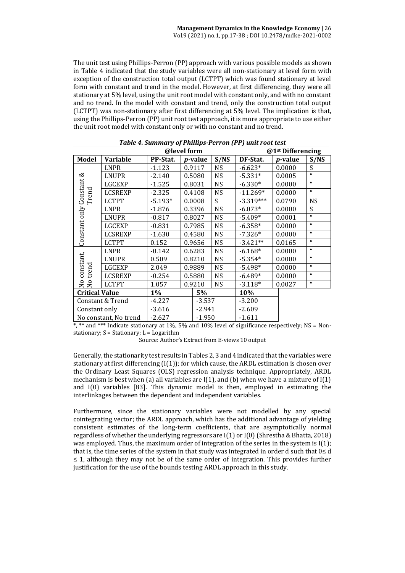The unit test using Phillips-Perron (PP) approach with various possible models as shown in Table 4 indicated that the study variables were all non-stationary at level form with exception of the construction total output (LCTPT) which was found stationary at level form with constant and trend in the model. However, at first differencing, they were all stationary at 5% level, using the unit root model with constant only, and with no constant and no trend. In the model with constant and trend, only the construction total output (LCTPT) was non-stationary after first differencing at 5% level. The implication is that, using the Phillips-Perron (PP) unit root test approach, it is more appropriate to use either the unit root model with constant only or with no constant and no trend.

|                        | @level form    |           |  |                 |           |             | @1 <sup>st</sup> Differencing |              |
|------------------------|----------------|-----------|--|-----------------|-----------|-------------|-------------------------------|--------------|
| Model                  | Variable       | PP-Stat.  |  | <i>p</i> -value | S/NS      | DF-Stat.    | <i>p</i> -value               | S/NS         |
|                        | <b>LNPR</b>    | $-1.123$  |  | 0.9117          | <b>NS</b> | $-6.623*$   | 0.0000                        | S            |
|                        | LNUPR          | $-2.140$  |  | 0.5080          | <b>NS</b> | $-5.331*$   | 0.0005                        | $\mathbf{u}$ |
|                        | LGCEXP         | $-1.525$  |  | 0.8031          | <b>NS</b> | $-6.330*$   | 0.0000                        | $\mathbf{u}$ |
| Constant $\&$<br>Trend | <b>LCSREXP</b> | $-2.325$  |  | 0.4108          | <b>NS</b> | $-11.269*$  | 0.0000                        | $\mathbf{u}$ |
|                        | <b>LCTPT</b>   | $-5.193*$ |  | 0.0008          | S         | $-3.319***$ | 0.0790                        | <b>NS</b>    |
|                        | <b>LNPR</b>    | $-1.876$  |  | 0.3396          | <b>NS</b> | $-6.073*$   | 0.0000                        | S            |
| Constant only          | LNUPR          | $-0.817$  |  | 0.8027          | <b>NS</b> | $-5.409*$   | 0.0001                        | $\mathbf{u}$ |
|                        | LGCEXP         | $-0.831$  |  | 0.7985          | <b>NS</b> | $-6.358*$   | 0.0000                        | $\mathbf{u}$ |
|                        | LCSREXP        | $-1.630$  |  | 0.4580          | <b>NS</b> | $-7.326*$   | 0.0000                        | $\epsilon$   |
|                        | <b>LCTPT</b>   | 0.152     |  | 0.9656          | <b>NS</b> | $-3.421**$  | 0.0165                        | "            |
|                        | <b>LNPR</b>    | $-0.142$  |  | 0.6283          | <b>NS</b> | $-6.168*$   | 0.0000                        | $\epsilon$   |
| constant,              | LNUPR          | 0.509     |  | 0.8210          | <b>NS</b> | $-5.354*$   | 0.0000                        | $\epsilon$   |
| trend                  | <b>LGCEXP</b>  | 2.049     |  | 0.9889          | <b>NS</b> | $-5.498*$   | 0.0000                        | "            |
|                        | <b>LCSREXP</b> | $-0.254$  |  | 0.5880          | <b>NS</b> | $-6.489*$   | 0.0000                        | "            |
| 28                     | <b>LCTPT</b>   | 1.057     |  | 0.9210          | <b>NS</b> | $-3.118*$   | 0.0027                        | $\mathbf{u}$ |
| <b>Critical Value</b>  |                | $1\%$     |  | 5%              |           | 10%         |                               |              |
| Constant & Trend       |                | $-4.227$  |  | $-3.537$        |           | $-3.200$    |                               |              |
| Constant only          |                | $-3.616$  |  | $-2.941$        |           | $-2.609$    |                               |              |
| No constant, No trend  |                | $-2.627$  |  |                 | $-1.950$  | $-1.611$    |                               |              |

*Table 4. Summary of Phillips-Perron (PP) unit root test*

 $*$ ,  $**$  and  $***$  Indicate stationary at 1%, 5% and 10% level of significance respectively; NS = Nonstationary;  $S =$  Stationary;  $L =$  Logarithm

Source: Author's Extract from E-views 10 output

Generally, the stationarity test results in Tables 2, 3 and 4 indicated that the variables were stationary at first differencing (I(1)); for which cause, the ARDL estimation is chosen over the Ordinary Least Squares (OLS) regression analysis technique. Appropriately, ARDL mechanism is best when (a) all variables are  $I(1)$ , and (b) when we have a mixture of  $I(1)$ and I(0) variables [83]. This dynamic model is then, employed in estimating the interlinkages between the dependent and independent variables.

Furthermore, since the stationary variables were not modelled by any special cointegrating vector; the ARDL approach, which has the additional advantage of yielding consistent estimates of the long-term coefficients, that are asymptotically normal regardless of whether the underlying regressors are I(1) or I(0) (Shrestha & Bhatta, 2018) was employed. Thus, the maximum order of integration of the series in the system is I(1); that is, the time series of the system in that study was integrated in order d such that  $0 \le d$ ≤ 1, although they may not be of the same order of integration. This provides further justification for the use of the bounds testing ARDL approach in this study.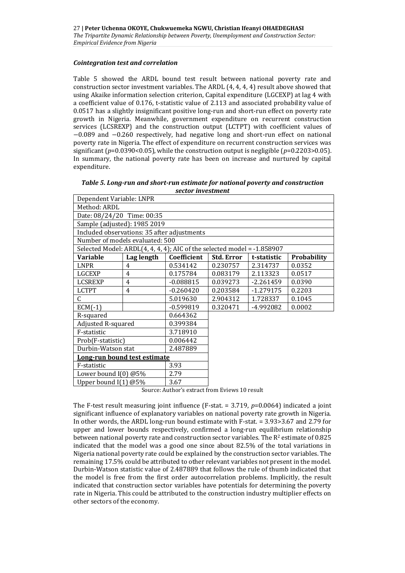## *Cointegration test and correlation*

Table 5 showed the ARDL bound test result between national poverty rate and construction sector investment variables. The ARDL (4, 4, 4, 4) result above showed that using Akaike information selection criterion, Capital expenditure (LGCEXP) at lag 4 with a coefficient value of 0.176, t-statistic value of 2.113 and associated probability value of 0.0517 has a slightly insignificant positive long-run and short-run effect on poverty rate growth in Nigeria. Meanwhile, government expenditure on recurrent construction services (LCSREXP) and the construction output (LCTPT) with coefficient values of −0.089 and −0.260 respectively, had negative long and short-run effect on national poverty rate in Nigeria. The effect of expenditure on recurrent construction services was significant (*p*=0.0390<0.05), while the construction output is negligible (*p*=0.2203>0.05). In summary, the national poverty rate has been on increase and nurtured by capital expenditure.

| JELLUI IIIVEJUIIEIIL                                                    |                              |             |                   |             |                    |  |  |  |  |
|-------------------------------------------------------------------------|------------------------------|-------------|-------------------|-------------|--------------------|--|--|--|--|
| Dependent Variable: LNPR                                                |                              |             |                   |             |                    |  |  |  |  |
| Method: ARDL                                                            |                              |             |                   |             |                    |  |  |  |  |
| Date: 08/24/20 Time: 00:35                                              |                              |             |                   |             |                    |  |  |  |  |
|                                                                         | Sample (adjusted): 1985 2019 |             |                   |             |                    |  |  |  |  |
| Included observations: 35 after adjustments                             |                              |             |                   |             |                    |  |  |  |  |
| Number of models evaluated: 500                                         |                              |             |                   |             |                    |  |  |  |  |
| Selected Model: ARDL(4, 4, 4, 4); AIC of the selected model = -1.858907 |                              |             |                   |             |                    |  |  |  |  |
| <b>Variable</b>                                                         | Lag length                   | Coefficient | <b>Std. Error</b> | t-statistic | <b>Probability</b> |  |  |  |  |
| <b>LNPR</b>                                                             | 4                            | 0.534142    | 0.230757          | 2.314737    | 0.0352             |  |  |  |  |
| LGCEXP                                                                  | 4                            | 0.175784    | 0.083179          | 2.113323    | 0.0517             |  |  |  |  |
| LCSREXP                                                                 | 4                            | $-0.088815$ | 0.039273          | $-2.261459$ | 0.0390             |  |  |  |  |
| <b>LCTPT</b>                                                            | $\overline{4}$               | $-0.260420$ | 0.203584          | $-1.279175$ | 0.2203             |  |  |  |  |
| C                                                                       |                              | 5.019630    | 2.904312          | 1.728337    | 0.1045             |  |  |  |  |
| $ECM(-1)$                                                               |                              | $-0.599819$ | 0.320471          | -4.992082   | 0.0002             |  |  |  |  |
| R-squared                                                               |                              | 0.664362    |                   |             |                    |  |  |  |  |
| Adjusted R-squared                                                      |                              | 0.399384    |                   |             |                    |  |  |  |  |
| F-statistic                                                             |                              | 3.718910    |                   |             |                    |  |  |  |  |
| Prob(F-statistic)                                                       |                              | 0.006442    |                   |             |                    |  |  |  |  |
| Durbin-Watson stat                                                      |                              | 2.487889    |                   |             |                    |  |  |  |  |
| Long-run bound test estimate                                            |                              |             |                   |             |                    |  |  |  |  |
| F-statistic                                                             |                              | 3.93        |                   |             |                    |  |  |  |  |
| Lower bound $I(0)$ @5%                                                  |                              |             |                   |             |                    |  |  |  |  |
| Upper bound $I(1)$ @5%                                                  |                              | 3.67        |                   |             |                    |  |  |  |  |

*Table 5. Long-run and short-run estimate for national poverty and construction sector investment*

Source: Author's extract from Eviews 10 result

The F-test result measuring joint influence (F-stat. = 3.719, *p*=0.0064) indicated a joint significant influence of explanatory variables on national poverty rate growth in Nigeria. In other words, the ARDL long-run bound estimate with F-stat. = 3.93>3.67 and 2.79 for upper and lower bounds respectively, confirmed a long-run equilibrium relationship between national poverty rate and construction sector variables. The  $R^2$  estimate of 0.825 indicated that the model was a good one since about 82.5% of the total variations in Nigeria national poverty rate could be explained by the construction sector variables. The remaining 17.5% could be attributed to other relevant variables not present in the model. Durbin-Watson statistic value of 2.487889 that follows the rule of thumb indicated that the model is free from the first order autocorrelation problems. Implicitly, the result indicated that construction sector variables have potentials for determining the poverty rate in Nigeria. This could be attributed to the construction industry multiplier effects on other sectors of the economy.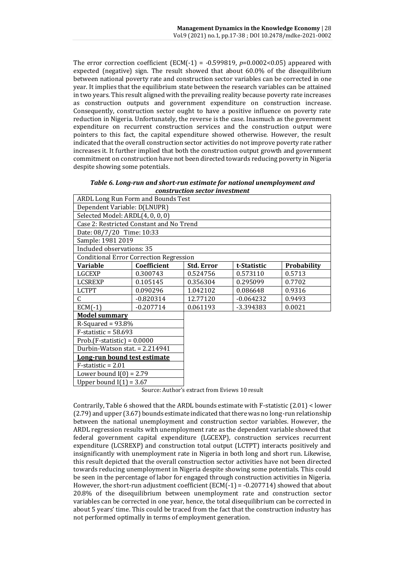The error correction coefficient  $[ECM(-1) = -0.599819, p=0.0002 < 0.05]$  appeared with expected (negative) sign. The result showed that about 60.0% of the disequilibrium between national poverty rate and construction sector variables can be corrected in one year. It implies that the equilibrium state between the research variables can be attained in two years. This result aligned with the prevailing reality because poverty rate increases as construction outputs and government expenditure on construction increase. Consequently, construction sector ought to have a positive influence on poverty rate reduction in Nigeria. Unfortunately, the reverse is the case. Inasmuch as the government expenditure on recurrent construction services and the construction output were pointers to this fact, the capital expenditure showed otherwise. However, the result indicated that the overall construction sector activities do not improve poverty rate rather increases it. It further implied that both the construction output growth and government commitment on construction have not been directed towards reducing poverty in Nigeria despite showing some potentials.

|                                                |             | consu acuon scetor investment |             |                    |  |  |  |  |
|------------------------------------------------|-------------|-------------------------------|-------------|--------------------|--|--|--|--|
| <b>ARDL Long Run Form and Bounds Test</b>      |             |                               |             |                    |  |  |  |  |
| Dependent Variable: D(LNUPR)                   |             |                               |             |                    |  |  |  |  |
| Selected Model: ARDL(4, 0, 0, 0)               |             |                               |             |                    |  |  |  |  |
| Case 2: Restricted Constant and No Trend       |             |                               |             |                    |  |  |  |  |
| Date: 08/7/20 Time: 10:33                      |             |                               |             |                    |  |  |  |  |
| Sample: 1981 2019                              |             |                               |             |                    |  |  |  |  |
| Included observations: 35                      |             |                               |             |                    |  |  |  |  |
| <b>Conditional Error Correction Regression</b> |             |                               |             |                    |  |  |  |  |
| <b>Variable</b>                                | Coefficient | <b>Std. Error</b>             | t-Statistic | <b>Probability</b> |  |  |  |  |
| LGCEXP                                         | 0.300743    | 0.524756                      | 0.573110    | 0.5713             |  |  |  |  |
| LCSREXP                                        | 0.105145    | 0.356304                      | 0.295099    | 0.7702             |  |  |  |  |
| <b>LCTPT</b>                                   | 0.090296    | 1.042102                      | 0.086648    | 0.9316             |  |  |  |  |
| C                                              | $-0.820314$ | 12.77120                      | $-0.064232$ | 0.9493             |  |  |  |  |
| $ECM(-1)$                                      | $-0.207714$ | 0.061193                      | -3.394383   | 0.0021             |  |  |  |  |
| <b>Model summary</b>                           |             |                               |             |                    |  |  |  |  |
| $R-Squared = 93.8%$                            |             |                               |             |                    |  |  |  |  |
| $F-statistic = 58.693$                         |             |                               |             |                    |  |  |  |  |
| Prob.(F-statistic) = $0.0000$                  |             |                               |             |                    |  |  |  |  |
| Durbin-Watson stat. $= 2.214941$               |             |                               |             |                    |  |  |  |  |
| Long-run bound test estimate                   |             |                               |             |                    |  |  |  |  |
| $F$ -statistic = 2.01                          |             |                               |             |                    |  |  |  |  |
| Lower bound $I(0) = 2.79$                      |             |                               |             |                    |  |  |  |  |
| Upper bound $I(1) = 3.67$                      |             |                               |             |                    |  |  |  |  |

*Table 6. Long-run and short-run estimate for national unemployment and construction sector investment*

Source: Author's extract from Eviews 10 result

Contrarily, Table 6 showed that the ARDL bounds estimate with F-statistic (2.01) < lower (2.79) and upper (3.67) bounds estimate indicated that there was no long-run relationship between the national unemployment and construction sector variables. However, the ARDL regression results with unemployment rate as the dependent variable showed that federal government capital expenditure (LGCEXP), construction services recurrent expenditure (LCSREXP) and construction total output (LCTPT) interacts positively and insignificantly with unemployment rate in Nigeria in both long and short run. Likewise, this result depicted that the overall construction sector activities have not been directed towards reducing unemployment in Nigeria despite showing some potentials. This could be seen in the percentage of labor for engaged through construction activities in Nigeria. However, the short-run adjustment coefficient  $(ECM(-1) = -0.207714)$  showed that about 20.8% of the disequilibrium between unemployment rate and construction sector variables can be corrected in one year, hence, the total disequilibrium can be corrected in about 5 years' time. This could be traced from the fact that the construction industry has not performed optimally in terms of employment generation.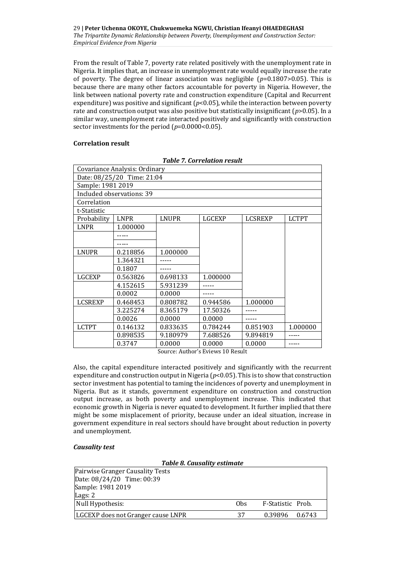From the result of Table 7, poverty rate related positively with the unemployment rate in Nigeria. It implies that, an increase in unemployment rate would equally increase the rate of poverty. The degree of linear association was negligible  $(p=0.1807>0.05)$ . This is because there are many other factors accountable for poverty in Nigeria. However, the link between national poverty rate and construction expenditure (Capital and Recurrent expenditure) was positive and significant (*p*<0.05), while the interaction between poverty rate and construction output was also positive but statistically insignificant (*p*>0.05). In a similar way, unemployment rate interacted positively and significantly with construction sector investments for the period ( $p=0.0000<0.05$ ).

## **Correlation result**

| Covariance Analysis: Ordinary |             |          |          |                |              |  |  |  |
|-------------------------------|-------------|----------|----------|----------------|--------------|--|--|--|
| Date: 08/25/20 Time: 21:04    |             |          |          |                |              |  |  |  |
| Sample: 1981 2019             |             |          |          |                |              |  |  |  |
| Included observations: 39     |             |          |          |                |              |  |  |  |
| Correlation                   |             |          |          |                |              |  |  |  |
| t-Statistic                   |             |          |          |                |              |  |  |  |
| Probability                   | <b>LNPR</b> | LNUPR    | LGCEXP   | <b>LCSREXP</b> | <b>LCTPT</b> |  |  |  |
| LNPR                          | 1.000000    |          |          |                |              |  |  |  |
|                               |             |          |          |                |              |  |  |  |
|                               |             |          |          |                |              |  |  |  |
| <b>LNUPR</b>                  | 0.218856    | 1.000000 |          |                |              |  |  |  |
|                               | 1.364321    |          |          |                |              |  |  |  |
|                               | 0.1807      |          |          |                |              |  |  |  |
| <b>LGCEXP</b>                 | 0.563826    | 0.698133 | 1.000000 |                |              |  |  |  |
|                               | 4.152615    | 5.931239 |          |                |              |  |  |  |
|                               | 0.0002      | 0.0000   |          |                |              |  |  |  |
| <b>LCSREXP</b>                | 0.468453    | 0.808782 | 0.944586 | 1.000000       |              |  |  |  |
|                               | 3.225274    | 8.365179 | 17.50326 |                |              |  |  |  |
|                               | 0.0026      | 0.0000   | 0.0000   |                |              |  |  |  |
| <b>LCTPT</b>                  | 0.146132    | 0.833635 | 0.784244 | 0.851903       | 1.000000     |  |  |  |
|                               | 0.898535    | 9.180979 | 7.688526 | 9.894819       |              |  |  |  |
|                               | 0.3747      | 0.0000   | 0.0000   | 0.0000         |              |  |  |  |

*Table 7. Correlation result*

Source: Author's Eviews 10 Result

Also, the capital expenditure interacted positively and significantly with the recurrent expenditure and construction output in Nigeria (*p*<0.05). This is to show that construction sector investment has potential to taming the incidences of poverty and unemployment in Nigeria. But as it stands, government expenditure on construction and construction output increase, as both poverty and unemployment increase. This indicated that economic growth in Nigeria is never equated to development. It further implied that there might be some misplacement of priority, because under an ideal situation, increase in government expenditure in real sectors should have brought about reduction in poverty and unemployment.

## *Causality test*

#### *Table 8. Causality estimate*

| Pairwise Granger Causality Tests   |                 |                   |  |
|------------------------------------|-----------------|-------------------|--|
| Date: 08/24/20 Time: 00:39         |                 |                   |  |
| Sample: 1981 2019                  |                 |                   |  |
| Lags: 2                            |                 |                   |  |
| Null Hypothesis:                   | 0 <sub>bs</sub> | F-Statistic Prob. |  |
| LGCEXP does not Granger cause LNPR |                 | 0.39896 0.6743    |  |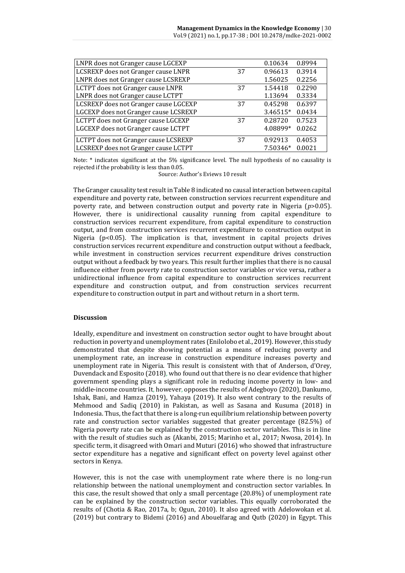| LNPR does not Granger cause LGCEXP    |    | 0.10634  | 0.8994 |
|---------------------------------------|----|----------|--------|
| LCSREXP does not Granger cause LNPR   | 37 | 0.96613  | 0.3914 |
| LNPR does not Granger cause LCSREXP   |    | 1.56025  | 0.2256 |
| LCTPT does not Granger cause LNPR     | 37 | 1.54418  | 0.2290 |
| LNPR does not Granger cause LCTPT     |    | 1.13694  | 0.3334 |
| LCSREXP does not Granger cause LGCEXP | 37 | 0.45298  | 0.6397 |
| LGCEXP does not Granger cause LCSREXP |    | 3.46515* | 0.0434 |
| LCTPT does not Granger cause LGCEXP   | 37 | 0.28720  | 0.7523 |
| LGCEXP does not Granger cause LCTPT   |    | 4.08899* | 0.0262 |
| LCTPT does not Granger cause LCSREXP  | 37 | 0.92913  | 0.4053 |
| LCSREXP does not Granger cause LCTPT  |    | 7.50346* | 0.0021 |

Note: \* indicates significant at the 5% significance level. The null hypothesis of no causality is rejected if the probability is less than 0.05.

Source: Author's Eviews 10 result

The Granger causality test result in Table 8 indicated no causal interaction between capital expenditure and poverty rate, between construction services recurrent expenditure and poverty rate, and between construction output and poverty rate in Nigeria (*p*>0.05). However, there is unidirectional causality running from capital expenditure to construction services recurrent expenditure, from capital expenditure to construction output, and from construction services recurrent expenditure to construction output in Nigeria (p<0.05). The implication is that, investment in capital projects drives construction services recurrent expenditure and construction output without a feedback, while investment in construction services recurrent expenditure drives construction output without a feedback by two years. This result further implies that there is no causal influence either from poverty rate to construction sector variables or vice versa, rather a unidirectional influence from capital expenditure to construction services recurrent expenditure and construction output, and from construction services recurrent expenditure to construction output in part and without return in a short term.

#### **Discussion**

Ideally, expenditure and investment on construction sector ought to have brought about reduction in poverty and unemployment rates (Enilolobo et al., 2019). However, this study demonstrated that despite showing potential as a means of reducing poverty and unemployment rate, an increase in construction expenditure increases poverty and unemployment rate in Nigeria. This result is consistent with that of Anderson, d'Orey, Duvendack and Esposito (2018), who found out that there is no clear evidence that higher government spending plays a significant role in reducing income poverty in low- and middle-income countries. It, however, opposes the results of Adegboyo (2020), Dankumo, Ishak, Bani, and Hamza (2019), Yahaya (2019). It also went contrary to the results of Mehmood and Sadiq (2010) in Pakistan, as well as Sasana and Kusuma (2018) in Indonesia. Thus, the fact that there is a long-run equilibrium relationship between poverty rate and construction sector variables suggested that greater percentage (82.5%) of Nigeria poverty rate can be explained by the construction sector variables. This is in line with the result of studies such as (Akanbi, 2015; Marinho et al., 2017; Nwosa, 2014). In specific term, it disagreed with Omari and Muturi (2016) who showed that infrastructure sector expenditure has a negative and significant effect on poverty level against other sectors in Kenya.

However, this is not the case with unemployment rate where there is no long-run relationship between the national unemployment and construction sector variables. In this case, the result showed that only a small percentage (20.8%) of unemployment rate can be explained by the construction sector variables. This equally corroborated the results of (Chotia & Rao, 2017a, b; Ogun, 2010). It also agreed with Adelowokan et al. (2019) but contrary to Bidemi (2016) and Abouelfarag and Qutb (2020) in Egypt. This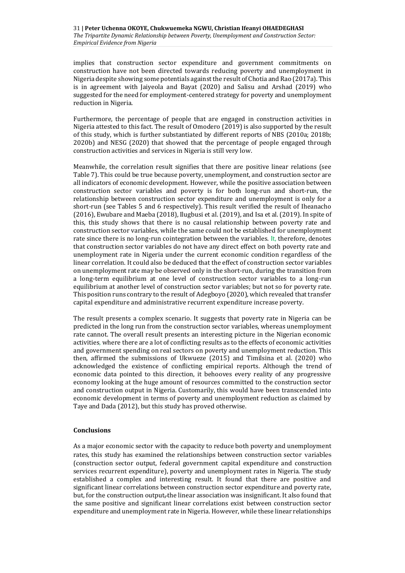implies that construction sector expenditure and government commitments on construction have not been directed towards reducing poverty and unemployment in Nigeria despite showing some potentials against the result of Chotia and Rao (2017a). This is in agreement with Jaiyeola and Bayat (2020) and Salisu and Arshad (2019) who suggested for the need for employment-centered strategy for poverty and unemployment reduction in Nigeria.

Furthermore, the percentage of people that are engaged in construction activities in Nigeria attested to this fact. The result of Omodero (2019) is also supported by the result of this study, which is further substantiated by different reports of NBS (2010a; 2018b; 2020b) and NESG (2020) that showed that the percentage of people engaged through construction activities and services in Nigeria is still very low.

Meanwhile, the correlation result signifies that there are positive linear relations (see Table 7). This could be true because poverty, unemployment, and construction sector are all indicators of economic development. However, while the positive association between construction sector variables and poverty is for both long-run and short-run, the relationship between construction sector expenditure and unemployment is only for a short-run (see Tables 5 and 6 respectively). This result verified the result of Iheanacho (2016), Ewubare and Maeba (2018), Ilugbusi et al. (2019), and Isa et al. (2019). In spite of this, this study shows that there is no causal relationship between poverty rate and construction sector variables, while the same could not be established for unemployment rate since there is no long-run cointegration between the variables. It, therefore, denotes that construction sector variables do not have any direct effect on both poverty rate and unemployment rate in Nigeria under the current economic condition regardless of the linear correlation. It could also be deduced that the effect of construction sector variables on unemployment rate may be observed only in the short-run, during the transition from a long-term equilibrium at one level of construction sector variables to a long-run equilibrium at another level of construction sector variables; but not so for poverty rate. This position runs contrary to the result of Adegboyo (2020), which revealed that transfer capital expenditure and administrative recurrent expenditure increase poverty.

The result presents a complex scenario. It suggests that poverty rate in Nigeria can be predicted in the long run from the construction sector variables, whereas unemployment rate cannot. The overall result presents an interesting picture in the Nigerian economic activities, where there are a lot of conflicting results as to the effects of economic activities and government spending on real sectors on poverty and unemployment reduction. This then, affirmed the submissions of Ukwueze (2015) and Timilsina et al. (2020) who acknowledged the existence of conflicting empirical reports. Although the trend of economic data pointed to this direction, it behooves every reality of any progressive economy looking at the huge amount of resources committed to the construction sector and construction output in Nigeria. Customarily, this would have been transcended into economic development in terms of poverty and unemployment reduction as claimed by Taye and Dada (2012), but this study has proved otherwise.

#### **Conclusions**

As a major economic sector with the capacity to reduce both poverty and unemployment rates, this study has examined the relationships between construction sector variables (construction sector output, federal government capital expenditure and construction services recurrent expenditure), poverty and unemployment rates in Nigeria. The study established a complex and interesting result. It found that there are positive and significant linear correlations between construction sector expenditure and poverty rate, but, for the construction output, the linear association was insignificant. It also found that the same positive and significant linear correlations exist between construction sector expenditure and unemployment rate in Nigeria. However, while these linear relationships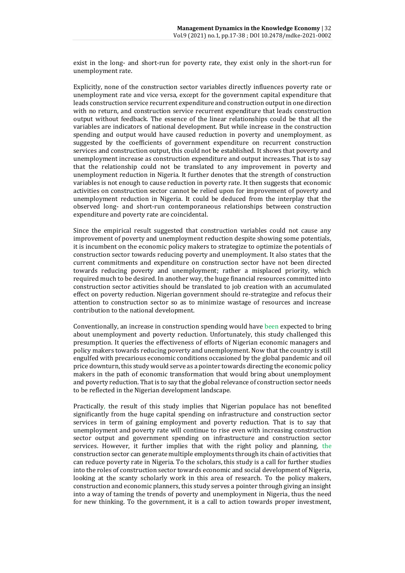exist in the long- and short-run for poverty rate, they exist only in the short-run for unemployment rate.

Explicitly, none of the construction sector variables directly influences poverty rate or unemployment rate and vice versa, except for the government capital expenditure that leads construction service recurrent expenditure and construction output in one direction with no return, and construction service recurrent expenditure that leads construction output without feedback. The essence of the linear relationships could be that all the variables are indicators of national development. But while increase in the construction spending and output would have caused reduction in poverty and unemployment, as suggested by the coefficients of government expenditure on recurrent construction services and construction output, this could not be established. It shows that poverty and unemployment increase as construction expenditure and output increases. That is to say that the relationship could not be translated to any improvement in poverty and unemployment reduction in Nigeria. It further denotes that the strength of construction variables is not enough to cause reduction in poverty rate. It then suggests that economic activities on construction sector cannot be relied upon for improvement of poverty and unemployment reduction in Nigeria. It could be deduced from the interplay that the observed long- and short-run contemporaneous relationships between construction expenditure and poverty rate are coincidental.

Since the empirical result suggested that construction variables could not cause any improvement of poverty and unemployment reduction despite showing some potentials, it is incumbent on the economic policy makers to strategize to optimize the potentials of construction sector towards reducing poverty and unemployment. It also states that the current commitments and expenditure on construction sector have not been directed towards reducing poverty and unemployment; rather a misplaced priority, which required much to be desired. In another way, the huge financial resources committed into construction sector activities should be translated to job creation with an accumulated effect on poverty reduction. Nigerian government should re-strategize and refocus their attention to construction sector so as to minimize wastage of resources and increase contribution to the national development.

Conventionally, an increase in construction spending would have been expected to bring about unemployment and poverty reduction. Unfortunately, this study challenged this presumption. It queries the effectiveness of efforts of Nigerian economic managers and policy makers towards reducing poverty and unemployment. Now that the country is still engulfed with precarious economic conditions occasioned by the global pandemic and oil price downturn, this study would serve as a pointer towards directing the economic policy makers in the path of economic transformation that would bring about unemployment and poverty reduction. That is to say that the global relevance of construction sector needs to be reflected in the Nigerian development landscape.

Practically, the result of this study implies that Nigerian populace has not benefited significantly from the huge capital spending on infrastructure and construction sector services in term of gaining employment and poverty reduction. That is to say that unemployment and poverty rate will continue to rise even with increasing construction sector output and government spending on infrastructure and construction sector services. However, it further implies that with the right policy and planning, the construction sector can generate multiple employments through its chain of activities that can reduce poverty rate in Nigeria. To the scholars, this study is a call for further studies into the roles of construction sector towards economic and social development of Nigeria, looking at the scanty scholarly work in this area of research. To the policy makers, construction and economic planners, this study serves a pointer through giving an insight into a way of taming the trends of poverty and unemployment in Nigeria, thus the need for new thinking. To the government, it is a call to action towards proper investment,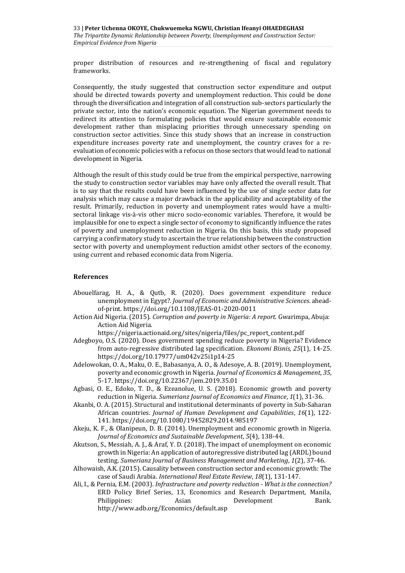proper distribution of resources and re-strengthening of fiscal and regulatory frameworks.

Consequently, the study suggested that construction sector expenditure and output should be directed towards poverty and unemployment reduction. This could be done through the diversification and integration of all construction sub-sectors particularly the private sector, into the nation's economic equation. The Nigerian government needs to redirect its attention to formulating policies that would ensure sustainable economic development rather than misplacing priorities through unnecessary spending on construction sector activities. Since this study shows that an increase in construction expenditure increases poverty rate and unemployment, the country craves for a reevaluation of economic policies with a refocus on those sectors that would lead to national development in Nigeria.

Although the result of this study could be true from the empirical perspective, narrowing the study to construction sector variables may have only affected the overall result. That is to say that the results could have been influenced by the use of single sector data for analysis which may cause a major drawback in the applicability and acceptability of the result. Primarily, reduction in poverty and unemployment rates would have a multisectoral linkage vis-à-vis other micro socio-economic variables. Therefore, it would be implausible for one to expect a single sector of economy to significantly influence the rates of poverty and unemployment reduction in Nigeria. On this basis, this study proposed carrying a confirmatory study to ascertain the true relationship between the construction sector with poverty and unemployment reduction amidst other sectors of the economy, using current and rebased economic data from Nigeria.

#### **References**

- Abouelfarag, H. A., & Qutb, R. (2020). Does government expenditure reduce unemployment in Egypt?. *Journal of Economic and Administrative Sciences*. aheadof-print. https://doi.org/10.1108/JEAS-01-2020-0011
- Action Aid Nigeria. (2015). *Corruption and poverty in Nigeria: A report.* Gwarimpa, Abuja: Action Aid Nigeria.
	- [https://nigeria.actionaid.org/sites/nigeria/files/pc\\_report\\_content.pdf](https://nigeria.actionaid.org/sites/nigeria/files/pc_report_content.pdf)
- Adegboyo, O.S. (2020). Does government spending reduce poverty in Nigeria? Evidence from auto-regressive distributed lag specification. *Ekonomi Bisnis, 25*(1), 14-25. https://doi.org/10.17977/um042v25i1p14-25
- Adelowokan, O. A., Maku, O. E., Babasanya, A. O., & Adesoye, A. B. (2019). Unemployment, poverty and economic growth in Nigeria. *Journal of Economics & Management*, *35*, 5-17. https://doi.org/10.22367/jem.2019.35.01
- Agbasi, O. E., Edoko, T. D., & Ezeanolue, U. S. (2018). Economic growth and poverty reduction in Nigeria. *Sumerianz Journal of Economics and Finance*, *1*(1), 31-36.
- Akanbi, O. A. (2015). Structural and institutional determinants of poverty in Sub-Saharan African countries. *Journal of Human Development and Capabilities*, *16*(1), 122- 141. https://doi.org/10.1080/19452829.2014.985197
- Akeju, K. F., & Olanipeun, D. B. (2014). Unemployment and economic growth in Nigeria. *Journal of Economics and Sustainable Development*, *5*(4), 138-44.
- Akutson, S., Messiah, A. J., & Araf, Y. D. (2018). The impact of unemployment on economic growth in Nigeria: An application of autoregressive distributed lag (ARDL) bound testing. *Sumerianz Journal of Business Management and Marketing*, *1*(2), 37-46.
- Alhowaish, A.K. (2015). Causality between construction sector and economic growth: The case of Saudi Arabia. *International Real Estate Review*, *18*(1), 131-147.
- Ali, I., & Pernia, E.M. (2003). *Infrastructure and poverty reduction - What is the connection?* ERD Policy Brief Series, 13, Economics and Research Department, Manila, Philippines: Asian Development Bank. <http://www.adb.org/Economics/default.asp>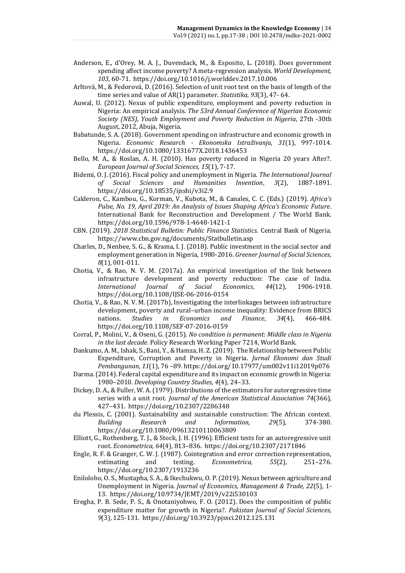- Anderson, E., d'Orey, M. A. J., Duvendack, M., & Esposito, L. (2018). Does government spending affect income poverty? A meta-regression analysis. *World Development, 103*, 60-71. https://doi.org/10.1016/j.worlddev.2017.10.006
- Arltová, M., & Fedorová, D. (2016). Selection of unit root test on the basis of length of the time series and value of AR(1) parameter. *Statistika, 93*(3), 47- 64.
- Auwal, U. (2012). Nexus of public expenditure, employment and poverty reduction in Nigeria: An empirical analysis. *The 53rd Annual Conference of Nigerian Economic Society (NES), Youth Employment and Poverty Reduction in Nigeria*, 27th -30th August, 2012, Abuja, Nigeria.
- Babatunde, S. A. (2018). Government spending on infrastructure and economic growth in Nigeria. *Economic Research - Ekonomska Istraživanja, 31*(1), 997-1014. https://doi.org/10.1080/1331677X.2018.1436453
- Bello, M. A., & Roslan, A. H. (2010). Has poverty reduced in Nigeria 20 years After?. *European Journal of Social Sciences, 15*(1), 7-17.
- Bidemi, O. J. (2016). Fiscal policy and unemployment in Nigeria. *The International Journal of Social Sciences and Humanities Invention*, *3*(2), 1887-1891. https://doi.org/10.18535/ijsshi/v3i2.9
- Calderon, C., Kambou, G., Korman, V., Kubota, M., & Canales, C. C. (Eds.) (2019). *Africa's Pulse, No. 19, April 2019: An Analysis of Issues Shaping Africa's Economic Future*. International Bank for Reconstruction and Development / The World Bank. https://doi.org/10.1596/978-1-4648-1421-1
- CBN. (2019). *2018 Statistical Bulletin: Public Finance Statistics.* Central Bank of Nigeria. <https://www.cbn.gov.ng/documents/Statbulletin.asp>
- Charles, D., Nenbee, S. G., & Krama, I. J. (2018). Public investment in the social sector and employment generation in Nigeria, 1980-2016. *Greener Journal of Social Sciences*, *8*(1), 001-011.
- Chotia, V., & Rao, N. V. M. (2017a). An empirical investigation of the link between infrastructure development and poverty reduction: The case of India. *International Journal of Social Economics*, *44*(12), 1906-1918. https://doi.org/10.1108/IJSE-06-2016-0154
- Chotia, V., & Rao, N. V. M. (2017b), Investigating the interlinkages between infrastructure development, poverty and rural–urban income inequality: Evidence from BRICS nations. *Studies in Economics and Finance*, *34*(4), 466-484. https://doi.org/10.1108/SEF-07-2016-0159
- Corral, P., Molini, V., & Oseni, G. (2015). *No condition is permanent: Middle class in Nigeria in the last decade.* Policy Research Working Paper 7214, World Bank.
- Dankumo, A. M., Ishak, S., Bani, Y., & Hamza, H. Z. (2019). The Relationship between Public Expenditure, Corruption and Poverty in Nigeria. *Jurnal Ekonomi dan Studi Pembangunan, 11*(1), 76 –89. https://doi.org/10.17977/um002v11i12019p076
- Darma. (2014). Federal capital expenditure and its impact on economic growth in Nigeria: 1980–2010. *Developing Country Studies, 4*(4), 24–33.
- Dickey, D. A., & Fuller, W. A. (1979). Distributions of the estimators for autoregressive time series with a unit root. *Journal of the American Statistical Association 74*(366), 427–431. https://doi.org/10.2307/2286348
- du Plessis, C. (2001). Sustainability and sustainable construction: The African context. *Building Research and Information, 29*(5), 374-380. https://doi.org/10.1080/09613210110063809
- Elliott, G., Rothenberg, T. J., & Stock, J. H. (1996). Efficient tests for an autoregressive unit root. *Econometrica, 64*(4), 813–836. https://doi.org/10.2307/2171846
- Engle, R. F. & Granger, C. W. J. (1987). Cointegration and error correction representation, estimating and testing. *Econometrica, 55*(2), 251–276. https://doi.org/10.2307/1913236
- Enilolobo, O. S., Mustapha, S. A., & Ikechukwu, O. P. (2019). Nexus between agriculture and Unemployment in Nigeria. *Journal of Economics, Management & Trade, 22*(5), 1- 13. https://doi.org/10.9734/JEMT/2019/v22i530103
- Eregha, P. B. Sede, P. S., & Onotaniyohwo, F. O. (2012). Does the composition of public expenditure matter for growth in Nigeria?. *Pakistan Journal of Social Sciences, 9*(3), 125-131. https://doi.org/10.3923/pjssci.2012.125.131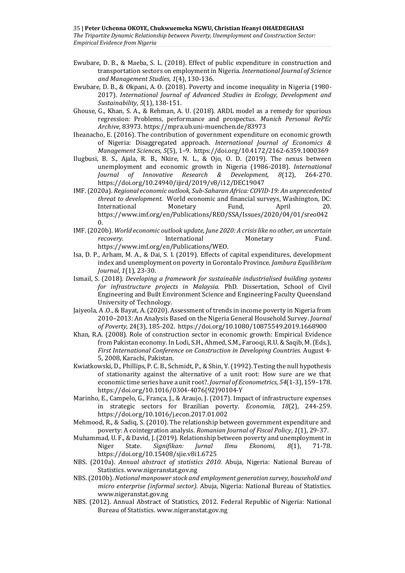- Ewubare, D. B., & Maeba, S. L. (2018). Effect of public expenditure in construction and transportation sectors on employment in Nigeria. *International Journal of Science and Management Studies, 1*(4), 130-136.
- Ewubare, D. B., & Okpani, A. O. (2018). Poverty and income inequality in Nigeria (1980- 2017). *International Journal of Advanced Studies in Ecology, Development and Sustainability*, *5*(1), 138-151.
- Ghouse, G., Khan, S. A., & Rehman, A. U. (2018). ARDL model as a remedy for spurious regression: Problems, performance and prospectus. *Munich Personal RePEc Archive*, 83973. <https://mpra.ub.uni-muenchen.de/83973>
- Iheanacho, E. (2016). The contribution of government expenditure on economic growth of Nigeria: Disaggregated approach. *International Journal of Economics & Management Sciences, 5*(5), 1–9. https://doi.org/10.4172/2162-6359.1000369
- Ilugbusi, B. S., Ajala, R. B., Nkire, N. L., & Ojo, O. D. (2019). The nexus between unemployment and economic growth in Nigeria (1986-2018). *International Journal of Innovative Research & Development, 8*(12), 264-270. https://doi.org/10.24940/ijird/2019/v8/i12/DEC19047
- IMF. (2020a). *Regional economic outlook, Sub-Saharan Africa: COVID-19: An unprecedented threat to development.* World economic and financial surveys, Washington, DC: International Monetary Fund, April 20. [https://www.imf.org/en/Publications/REO/SSA/Issues/2020/04/01/sreo042](https://www.imf.org/en/Publications/REO/SSA/Issues/2020/04/01/sreo0420)  $\Omega$ .
- IMF. (2020b). *World economic outlook update, June 2020: A crisis like no other, an uncertain recovery.* **International Monetary Fund.** [https://www.imf.org/en/Publications/WEO.](https://www.imf.org/en/Publications/WEO)
- Isa, D. P., Arham, M. A., & Dai, S. I. (2019). Effects of capital expenditures, development index and unemployment on poverty in Gorontalo Province. *Jambura Equilibrium Journal*, *1*(1), 23-30.
- Ismail, S. (2018). *Developing a framework for sustainable industrialised building systems for infrastructure projects in Malaysia.* PhD. Dissertation, School of Civil Engineering and Built Environment Science and Engineering Faculty Queensland University of Technology.
- Jaiyeola, A .O., & Bayat, A. (2020). Assessment of trends in income poverty in Nigeria from 2010–2013: An Analysis Based on the Nigeria General Household Survey. *Journal of Poverty,* 24(3), 185-202. https://doi.org/10.1080/10875549.2019.1668900
- Khan, R.A. (2008). Role of construction sector in economic growth: Empirical Evidence from Pakistan economy. In Lodi, S.H., Ahmed, S.M., Farooqi, R.U. & Saqib, M. (Eds.), *First International Conference on Construction in Developing Countries.* August 4- 5, 2008, Karachi, Pakistan.
- Kwiatkowski, D., Phillips, P. C. B., Schmidt, P., & Shin, Y. (1992). Testing the null hypothesis of stationarity against the alternative of a unit root: How sure are we that economic time series have a unit root?. *Journal of Econometrics, 54*(1-3), 159–178. https://doi.org/10.1016/0304-4076(92)90104-Y
- Marinho, E., Campelo, G., França, J., & Araujo, J. (2017). Impact of infrastructure expenses in strategic sectors for Brazilian poverty. *Economia, 18*(2), 244-259. https://doi.org/10.1016/j.econ.2017.01.002
- Mehmood, R., & Sadiq, S. (2010). The relationship between government expenditure and poverty: A cointegration analysis. *Romanian Journal of Fiscal Policy*, *1*(1), 29-37.
- Muhammad, U. F., & David, J. (2019). Relationship between poverty and unemployment in Niger State. *Signifikan: Jurnal Ilmu Ekonomi, 8*(1), 71-78. https://doi.org/10.15408/sjie.v8i1.6725
- NBS. (2010a). *Annual abstract of statistics 2010.* Abuja, Nigeria: National Bureau of Statistics. [www.nigeranstat.gov.ng](http://www.nigeranstat.gov.ng/)
- NBS. (2010b). *National manpower stock and employment generation survey, household and micro enterprise (informal sector).* Abuja, Nigeria: National Bureau of Statistics. [www.nigeranstat.gov.ng](http://www.nigeranstat.gov.ng/)
- NBS. (2012). Annual Abstract of Statistics, 2012. Federal Republic of Nigeria: National Bureau of Statistics. [www.nigeranstat.gov.ng](http://www.nigeranstat.gov.ng/)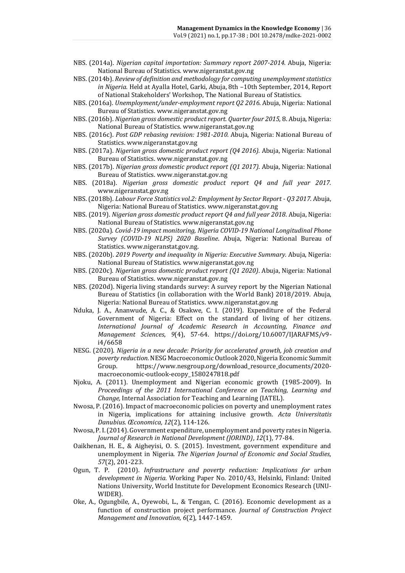- NBS. (2014a). *Nigerian capital importation: Summary report 2007-2014.* Abuja, Nigeria: National Bureau of Statistics. [www.nigeranstat.gov.ng](http://www.nigeranstat.gov.ng/)
- NBS. (2014b). *Review of definition and methodology for computing unemployment statistics in Nigeria.* Held at Ayalla Hotel, Garki, Abuja, 8th –10th September, 2014, Report of National Stakeholders' Workshop, The National Bureau of Statistics.
- NBS. (2016a). *Unemployment/under-employment report Q2 2016.* Abuja, Nigeria: National Bureau of Statistics. [www.nigeranstat.gov.ng](http://www.nigeranstat.gov.ng/)
- NBS. (2016b). *Nigerian gross domestic product report. Quarter four 2015,* 8. Abuja, Nigeria: National Bureau of Statistics. [www.nigeranstat.gov.ng](http://www.nigeranstat.gov.ng/)
- NBS. (2016c). *Post GDP rebasing revision: 1981-2010.* Abuja, Nigeria: National Bureau of Statistics. [www.nigeranstat.gov.ng](http://www.nigeranstat.gov.ng/)
- NBS. (2017a). *Nigerian gross domestic product report (Q4 2016).* Abuja, Nigeria: National Bureau of Statistics. [www.nigeranstat.gov.ng](http://www.nigeranstat.gov.ng/)
- NBS. (2017b). *Nigerian gross domestic product report (Q1 2017).* Abuja, Nigeria: National Bureau of Statistics. [www.nigeranstat.gov.ng](http://www.nigeranstat.gov.ng/)
- NBS. (2018a). *Nigerian gross domestic product report Q4 and full year 2017.* [www.nigeranstat.gov.ng](http://www.nigeranstat.gov.ng/)
- NBS. (2018b). *Labour Force Statistics vol.2: Employment by Sector Report - Q3 2017.* Abuja, Nigeria: National Bureau of Statistics. [www.nigeranstat.gov.ng](http://www.nigeranstat.gov.ng/)
- NBS. (2019). *Nigerian gross domestic product report Q4 and full year 2018*. Abuja, Nigeria: National Bureau of Statistics. [www.nigeranstat.gov.ng](http://www.nigeranstat.gov.ng/)
- NBS. (2020a). *Covid-19 impact monitoring, Nigeria COVID-19 National Longitudinal Phone Survey (COVID-19 NLPS) 2020 Baseline*. Abuja, Nigeria: National Bureau of Statistics. [www.nigeranstat.gov.ng.](http://www.nigeranstat.gov.ng/)
- NBS. (2020b). *2019 Poverty and inequality in Nigeria: Executive Summary.* Abuja, Nigeria: National Bureau of Statistics. [www.nigeranstat.gov.ng](http://www.nigeranstat.gov.ng/)
- NBS. (2020c). *Nigerian gross domestic product report (Q1 2020)*. Abuja, Nigeria: National Bureau of Statistics. [www.nigeranstat.gov.ng](http://www.nigeranstat.gov.ng/)
- NBS. (2020d). Nigeria living standards survey: A survey report by the Nigerian National Bureau of Statistics (in collaboration with the World Bank) 2018/2019. Abuja, Nigeria: National Bureau of Statistics. [www.nigeranstat.gov.ng](http://www.nigeranstat.gov.ng/)
- Nduka, J. A., Ananwude, A. C., & Osakwe, C. I. (2019). Expenditure of the Federal Government of Nigeria: Effect on the standard of living of her citizens. *International Journal of Academic Research in Accounting, Finance and Management Sciences*, *9*(4), 57-64. https://doi.org/10.6007/IJARAFMS/v9 i4/6658
- NESG. (2020). *Nigeria in a new decade: Priority for accelerated growth, job creation and poverty reduction.* NESG Macroeconomic Outlook 2020, Nigeria Economic Summit Group. [https://www.nesgroup.org/download\\_resource\\_documents/2020](https://www.nesgroup.org/download_resource_documents/2020-macroeconomic-outlook-ecopy_1580247818.pdf) [macroeconomic-outlook-ecopy\\_1580247818.pdf](https://www.nesgroup.org/download_resource_documents/2020-macroeconomic-outlook-ecopy_1580247818.pdf)
- Njoku, A. (2011). Unemployment and Nigerian economic growth (1985-2009). In *Proceedings of the 2011 International Conference on Teaching, Learning and Change,* Internal Association for Teaching and Learning (IATEL).
- Nwosa, P. (2016). Impact of macroeconomic policies on poverty and unemployment rates in Nigeria, implications for attaining inclusive growth. *Acta Universitatis Danubius. Œconomica, 12*(2), 114-126.
- Nwosa, P. I. (2014). Government expenditure, unemployment and poverty rates in Nigeria. *Journal of Research in National Development (JORIND)*, *12*(1), 77-84.
- Oaikhenan, H. E., & Aigheyisi, O. S. (2015). Investment, government expenditure and unemployment in Nigeria. *The Nigerian Journal of Economic and Social Studies, 57*(2), 201-223.
- Ogun, T. P. (2010). *Infrastructure and poverty reduction: Implications for urban development in Nigeria.* Working Paper No. 2010/43, Helsinki, Finland: United Nations University, World Institute for Development Economics Research (UNU-WIDER).
- Oke, A., Ogungbile, A., Oyewobi, L., & Tengan, C. (2016). Economic development as a function of construction project performance. *Journal of Construction Project Management and Innovation, 6*(2), 1447-1459.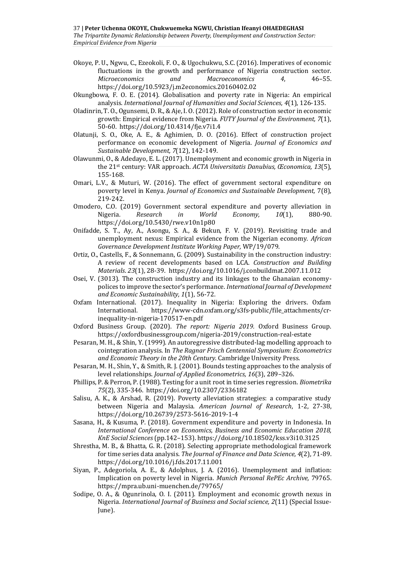- Okoye, P. U., Ngwu, C., Ezeokoli, F. O., & Ugochukwu, S.C. (2016). Imperatives of economic fluctuations in the growth and performance of Nigeria construction sector. *Microeconomics and Macroeconomics 4*, 46–55. https://doi.org/10.5923/j.m2economics.20160402.02
- Okungbowa, F. O. E. (2014). Globalisation and poverty rate in Nigeria: An empirical analysis. *International Journal of Humanities and Social Sciences, 4*(1), 126-135.
- Oladinrin, T. O., Ogunsemi, D. R., & Aje, I. O. (2012). Role of construction sector in economic growth: Empirical evidence from Nigeria. *FUTY Journal of the Environment, 7*(1), 50-60. https://doi.org/10.4314/fje.v7i1.4
- Olatunji, S. O., Oke, A. E., & Aghimien, D. O. (2016). Effect of construction project performance on economic development of Nigeria. *Journal of Economics and Sustainable Development, 7*(12), 142-149.
- Olawunmi, O., & Adedayo, E. L. (2017). Unemployment and economic growth in Nigeria in the 21st century: VAR approach. *ACTA Universitatis Danubius, Œconomica, 13*(5), 155-168.
- Omari, L.V., & Muturi, W. (2016). The effect of government sectoral expenditure on poverty level in Kenya. *Journal of Economics and Sustainable Development,* 7(8), 219-242.
- Omodero, C.O. (2019) Government sectoral expenditure and poverty alleviation in Nigeria. *Research in World Economy, 10*(1), 880-90. https://doi.org/10.5430/rwe.v10n1p80
- Onifadde, S. T., Ay, A., Asongu, S. A., & Bekun, F. V. (2019). Revisiting trade and unemployment nexus: Empirical evidence from the Nigerian economy. *African Governance Development Institute Working Paper,* WP/19/079.
- Ortiz, O., Castells, F., & Sonnemann, G. (2009). Sustainability in the construction industry: A review of recent developments based on LCA. *Construction and Building Materials*. *23*(1), 28-39. https://doi.org/10.1016/j.conbuildmat.2007.11.012
- Osei, V. (3013). The construction industry and its linkages to the Ghanaian economypolices to improve the sector's performance. *International Journal of Development and Economic Sustainability, 1*(1), 56-72.
- Oxfam International. (2017). Inequality in Nigeria: Exploring the drivers. Oxfam International. [https://www-cdn.oxfam.org/s3fs-public/file\\_attachments/cr](https://www-cdn.oxfam.org/s3fs-public/file_attachments/cr-inequality-in-nigeria-170517-en.pdf)[inequality-in-nigeria-170517-en.pdf](https://www-cdn.oxfam.org/s3fs-public/file_attachments/cr-inequality-in-nigeria-170517-en.pdf)
- Oxford Business Group. (2020). *The report: Nigeria 2019.* Oxford Business Group. <https://oxfordbusinessgroup.com/nigeria-2019/construction-real-estate>
- Pesaran, M. H., & Shin, Y. (1999). An autoregressive distributed-lag modelling approach to cointegration analysis. In *The Ragnar Frisch Centennial Symposium: Econometrics and Economic Theory in the 20th Century.* Cambridge University Press.
- Pesaran, M. H., Shin, Y., & Smith, R. J. (2001). Bounds testing approaches to the analysis of level relationships. *Journal of Applied Econometrics, 16*(3), 289–326.
- Phillips, P. & Perron, P. (1988). Testing for a unit root in time series regression. *Biometrika 75*(2), 335-346. https://doi.org/10.2307/2336182
- Salisu, A. K., & Arshad, R. (2019). Poverty alleviation strategies: a comparative study between Nigeria and Malaysia. *American Journal of Research*, 1-2, 27-38, https://doi.org/10.26739/2573-5616-2019-1-4
- Sasana, H., & Kusuma, P. (2018). Government expenditure and poverty in Indonesia. In *International Conference on Economics, Business and Economic Education 2018, KnE Social Sciences* (pp.142–153). https://doi.org/10.18502/kss.v3i10.3125
- Shrestha, M. B., & Bhatta, G. R. (2018). Selecting appropriate methodological framework for time series data analysis. *The Journal of Finance and Data Science, 4*(2), 71-89. https://doi.org/10.1016/j.fds.2017.11.001
- Siyan, P., Adegoriola, A. E., & Adolphus, J. A. (2016). Unemployment and inflation: Implication on poverty level in Nigeria. *Munich Personal RePEc Archive,* 79765. <https://mpra.ub.uni-muenchen.de/79765/>
- Sodipe, O. A., & Ogunrinola, O. I. (2011). Employment and economic growth nexus in Nigeria. *International Journal of Business and Social science, 2*(11) (Special Issue-June).